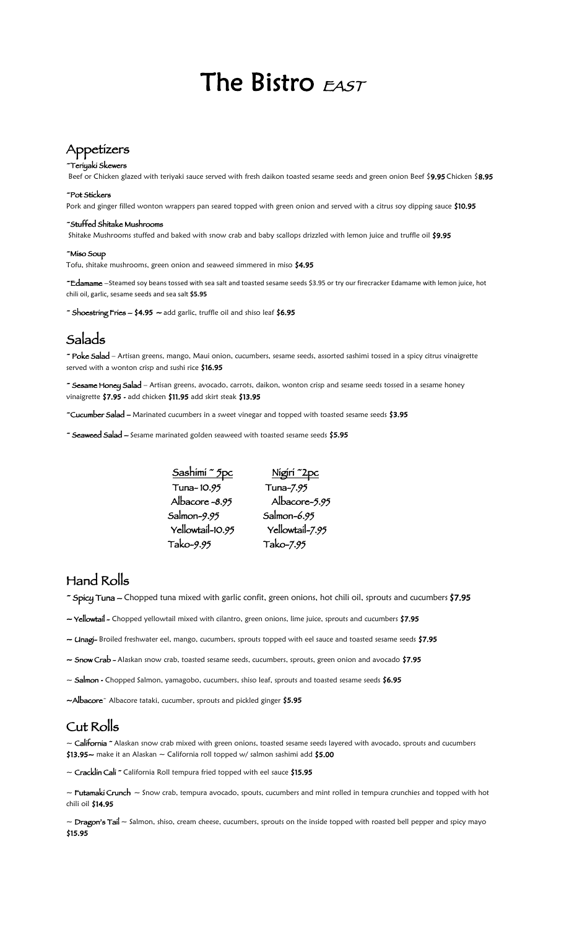# The Bistro EAST

## Appetizers

#### ~Teriyaki Skewers

Beef or Chicken glazed with teriyaki sauce served with fresh daikon toasted sesame seeds and green onion Beef \$9.95 Chicken \$8.95

#### ~Pot Stickers

Pork and ginger filled wonton wrappers pan seared topped with green onion and served with a citrus soy dipping sauce \$10.95

#### ~Stuffed Shitake Mushrooms

Shitake Mushrooms stuffed and baked with snow crab and baby scallops drizzled with lemon juice and truffle oil \$9.95

#### ~Miso Soup

Tofu, shitake mushrooms, green onion and seaweed simmered in miso \$4.95

~Edamame –Steamed soy beans tossed with sea salt and toasted sesame seeds \$3.95 or try our firecracker Edamame with lemon juice, hot chili oil, garlic, sesame seeds and sea salt **\$5.95** 

~ Shoestring Fries  $-$  \$4.95  $-$  add garlic, truffle oil and shiso leaf \$6.95

### Salads

~ Poke Salad – Artisan greens, mango, Maui onion, cucumbers, sesame seeds, assorted sashimi tossed in a spicy citrus vinaigrette served with a wonton crisp and sushi rice \$16.95

~ Sesame Honey Salad – Artisan greens, avocado, carrots, daikon, wonton crisp and sesame seeds tossed in a sesame honey vinaigrette \$7.95 - add chicken \$11.95 add skirt steak \$13.95

~Cucumber Salad – Marinated cucumbers in a sweet vinegar and topped with toasted sesame seeds \$3.95

~ Seaweed Salad – Sesame marinated golden seaweed with toasted sesame seeds \$5.95



### Hand Rolls

~ Spicy Tuna – Chopped tuna mixed with garlic confit, green onions, hot chili oil, sprouts and cucumbers \$7.95

- $\sim$  **Yellowtail** Chopped yellowtail mixed with cilantro, green onions, lime juice, sprouts and cucumbers \$7.95
- ~ Unagi- Broiled freshwater eel, mango, cucumbers, sprouts topped with eel sauce and toasted sesame seeds \$7.95
- $\sim$  Snow Crab Alaskan snow crab, toasted sesame seeds, cucumbers, sprouts, green onion and avocado \$7.95  $\,$
- ~ Salmon Chopped Salmon, yamagobo, cucumbers, shiso leaf, sprouts and toasted sesame seeds \$6.95

 $\sim$ Al $b$ ac $o$ re $\sim$  Albacore tataki, cucumber, sprouts and pickled ginger  $\$5.95$ 

#### Cut Rolls

 $\sim$  California  $\sim$  Alaskan snow crab mixed with green onions, toasted sesame seeds layered with avocado, sprouts and cucumbers  $$13.95\sim$  make it an Alaskan  $\sim$  California roll topped w/ salmon sashimi add  $$5.00$ 

~ Cracklin Cali ~ California Roll tempura fried topped with eel sauce \$15.95

 $\sim$  Futamaki Crunch  $\sim$  Snow crab, tempura avocado, spouts, cucumbers and mint rolled in tempura crunchies and topped with hot chili oil \$14.95

~ Dragon's Tail ~ Salmon, shiso, cream cheese, cucumbers, sprouts on the inside topped with roasted bell pepper and spicy mayo \$15.95